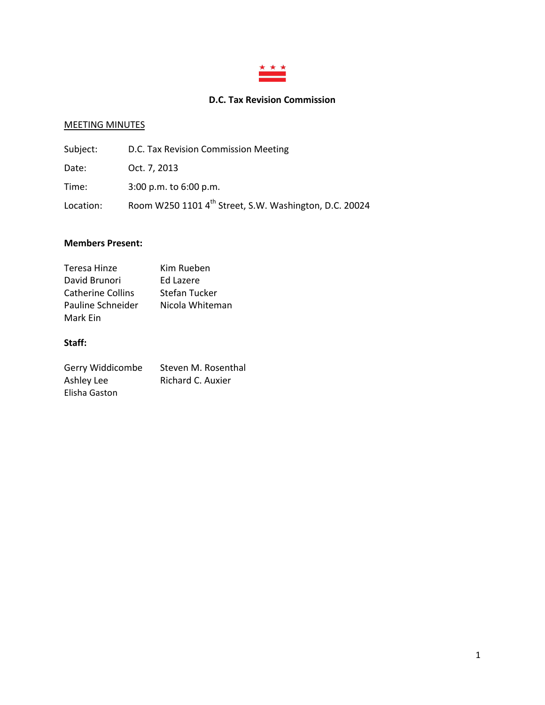

# **D.C. Tax Revision Commission**

# MEETING MINUTES

| Subject:  | D.C. Tax Revision Commission Meeting                               |
|-----------|--------------------------------------------------------------------|
| Date:     | Oct. 7, 2013                                                       |
| Time:     | $3:00$ p.m. to $6:00$ p.m.                                         |
| Location: | Room W250 1101 4 <sup>th</sup> Street, S.W. Washington, D.C. 20024 |

### **Members Present:**

| Teresa Hinze             | Kim Rueben      |
|--------------------------|-----------------|
| David Brunori            | Ed Lazere       |
| <b>Catherine Collins</b> | Stefan Tucker   |
| Pauline Schneider        | Nicola Whiteman |
| Mark Ein                 |                 |

# **Staff:**

| Gerry Widdicombe | Steven M. Rosenthal |
|------------------|---------------------|
| Ashley Lee       | Richard C. Auxier   |
| Elisha Gaston    |                     |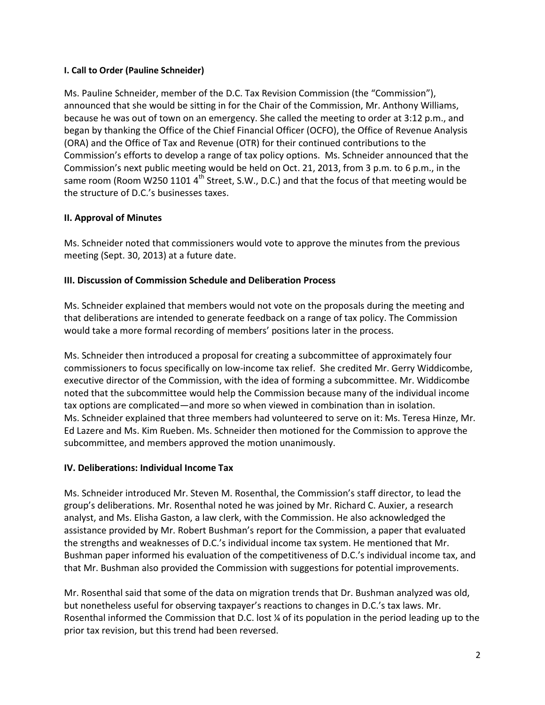### **I. Call to Order (Pauline Schneider)**

Ms. Pauline Schneider, member of the D.C. Tax Revision Commission (the "Commission"), announced that she would be sitting in for the Chair of the Commission, Mr. Anthony Williams, because he was out of town on an emergency. She called the meeting to order at 3:12 p.m., and began by thanking the Office of the Chief Financial Officer (OCFO), the Office of Revenue Analysis (ORA) and the Office of Tax and Revenue (OTR) for their continued contributions to the Commission's efforts to develop a range of tax policy options. Ms. Schneider announced that the Commission's next public meeting would be held on Oct. 21, 2013, from 3 p.m. to 6 p.m., in the same room (Room W250 1101  $4^{\text{th}}$  Street, S.W., D.C.) and that the focus of that meeting would be the structure of D.C.'s businesses taxes.

## **II. Approval of Minutes**

Ms. Schneider noted that commissioners would vote to approve the minutes from the previous meeting (Sept. 30, 2013) at a future date.

### **III. Discussion of Commission Schedule and Deliberation Process**

Ms. Schneider explained that members would not vote on the proposals during the meeting and that deliberations are intended to generate feedback on a range of tax policy. The Commission would take a more formal recording of members' positions later in the process.

Ms. Schneider then introduced a proposal for creating a subcommittee of approximately four commissioners to focus specifically on low-income tax relief. She credited Mr. Gerry Widdicombe, executive director of the Commission, with the idea of forming a subcommittee. Mr. Widdicombe noted that the subcommittee would help the Commission because many of the individual income tax options are complicated—and more so when viewed in combination than in isolation. Ms. Schneider explained that three members had volunteered to serve on it: Ms. Teresa Hinze, Mr. Ed Lazere and Ms. Kim Rueben. Ms. Schneider then motioned for the Commission to approve the subcommittee, and members approved the motion unanimously.

### **IV. Deliberations: Individual Income Tax**

Ms. Schneider introduced Mr. Steven M. Rosenthal, the Commission's staff director, to lead the group's deliberations. Mr. Rosenthal noted he was joined by Mr. Richard C. Auxier, a research analyst, and Ms. Elisha Gaston, a law clerk, with the Commission. He also acknowledged the assistance provided by Mr. Robert Bushman's report for the Commission, a paper that evaluated the strengths and weaknesses of D.C.'s individual income tax system. He mentioned that Mr. Bushman paper informed his evaluation of the competitiveness of D.C.'s individual income tax, and that Mr. Bushman also provided the Commission with suggestions for potential improvements.

Mr. Rosenthal said that some of the data on migration trends that Dr. Bushman analyzed was old, but nonetheless useful for observing taxpayer's reactions to changes in D.C.'s tax laws. Mr. Rosenthal informed the Commission that D.C. lost ¼ of its population in the period leading up to the prior tax revision, but this trend had been reversed.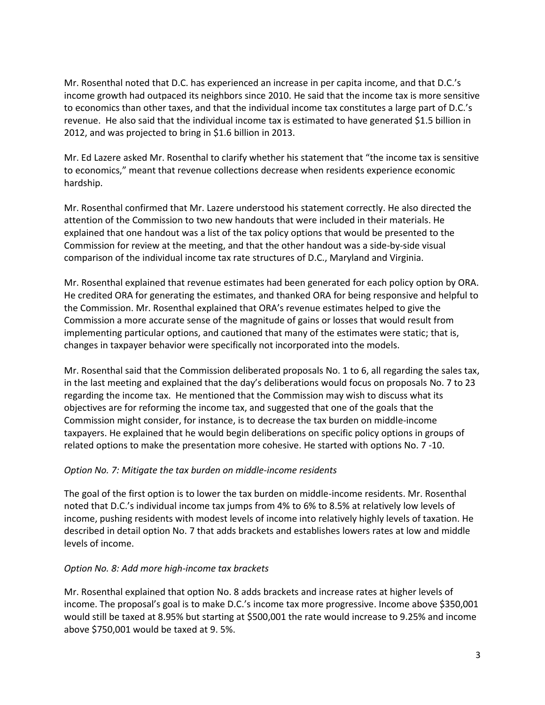Mr. Rosenthal noted that D.C. has experienced an increase in per capita income, and that D.C.'s income growth had outpaced its neighbors since 2010. He said that the income tax is more sensitive to economics than other taxes, and that the individual income tax constitutes a large part of D.C.'s revenue. He also said that the individual income tax is estimated to have generated \$1.5 billion in 2012, and was projected to bring in \$1.6 billion in 2013.

Mr. Ed Lazere asked Mr. Rosenthal to clarify whether his statement that "the income tax is sensitive to economics," meant that revenue collections decrease when residents experience economic hardship.

Mr. Rosenthal confirmed that Mr. Lazere understood his statement correctly. He also directed the attention of the Commission to two new handouts that were included in their materials. He explained that one handout was a list of the tax policy options that would be presented to the Commission for review at the meeting, and that the other handout was a side-by-side visual comparison of the individual income tax rate structures of D.C., Maryland and Virginia.

Mr. Rosenthal explained that revenue estimates had been generated for each policy option by ORA. He credited ORA for generating the estimates, and thanked ORA for being responsive and helpful to the Commission. Mr. Rosenthal explained that ORA's revenue estimates helped to give the Commission a more accurate sense of the magnitude of gains or losses that would result from implementing particular options, and cautioned that many of the estimates were static; that is, changes in taxpayer behavior were specifically not incorporated into the models.

Mr. Rosenthal said that the Commission deliberated proposals No. 1 to 6, all regarding the sales tax, in the last meeting and explained that the day's deliberations would focus on proposals No. 7 to 23 regarding the income tax. He mentioned that the Commission may wish to discuss what its objectives are for reforming the income tax, and suggested that one of the goals that the Commission might consider, for instance, is to decrease the tax burden on middle-income taxpayers. He explained that he would begin deliberations on specific policy options in groups of related options to make the presentation more cohesive. He started with options No. 7 -10.

### *Option No. 7: Mitigate the tax burden on middle-income residents*

The goal of the first option is to lower the tax burden on middle-income residents. Mr. Rosenthal noted that D.C.'s individual income tax jumps from 4% to 6% to 8.5% at relatively low levels of income, pushing residents with modest levels of income into relatively highly levels of taxation. He described in detail option No. 7 that adds brackets and establishes lowers rates at low and middle levels of income.

### *Option No. 8: Add more high-income tax brackets*

Mr. Rosenthal explained that option No. 8 adds brackets and increase rates at higher levels of income. The proposal's goal is to make D.C.'s income tax more progressive. Income above \$350,001 would still be taxed at 8.95% but starting at \$500,001 the rate would increase to 9.25% and income above \$750,001 would be taxed at 9. 5%.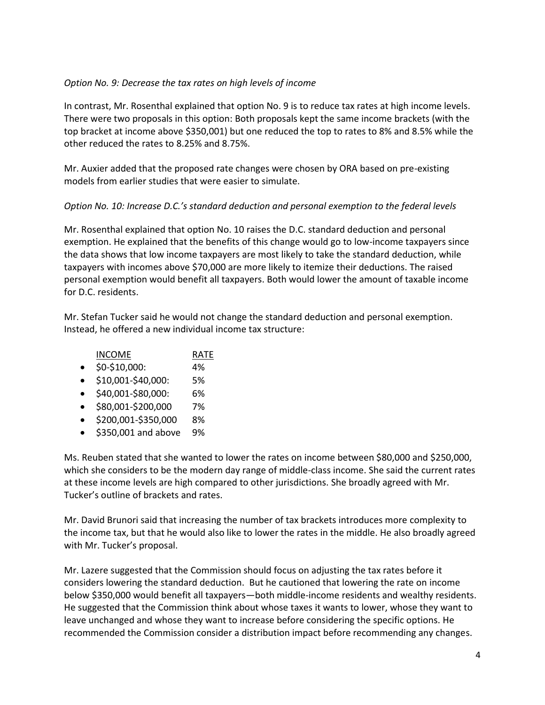### *Option No. 9: Decrease the tax rates on high levels of income*

In contrast, Mr. Rosenthal explained that option No. 9 is to reduce tax rates at high income levels. There were two proposals in this option: Both proposals kept the same income brackets (with the top bracket at income above \$350,001) but one reduced the top to rates to 8% and 8.5% while the other reduced the rates to 8.25% and 8.75%.

Mr. Auxier added that the proposed rate changes were chosen by ORA based on pre-existing models from earlier studies that were easier to simulate.

## *Option No. 10: Increase D.C.'s standard deduction and personal exemption to the federal levels*

Mr. Rosenthal explained that option No. 10 raises the D.C. standard deduction and personal exemption. He explained that the benefits of this change would go to low-income taxpayers since the data shows that low income taxpayers are most likely to take the standard deduction, while taxpayers with incomes above \$70,000 are more likely to itemize their deductions. The raised personal exemption would benefit all taxpayers. Both would lower the amount of taxable income for D.C. residents.

Mr. Stefan Tucker said he would not change the standard deduction and personal exemption. Instead, he offered a new individual income tax structure:

| <b>INCOME</b>                      | <b>RATF</b> |
|------------------------------------|-------------|
| $\sim$ $\sim$ $\sim$ $\sim$ $\sim$ | 10/         |

- $\bullet$  \$0-\$10,000: 4%
- \$10,001-\$40,000: 5%
- $\bullet$  \$40,001-\$80,000: 6%
- \$80,001-\$200,000 7%
- \$200,001-\$350,000 8%
- $\bullet$  \$350,001 and above 9%

Ms. Reuben stated that she wanted to lower the rates on income between \$80,000 and \$250,000, which she considers to be the modern day range of middle-class income. She said the current rates at these income levels are high compared to other jurisdictions. She broadly agreed with Mr. Tucker's outline of brackets and rates.

Mr. David Brunori said that increasing the number of tax brackets introduces more complexity to the income tax, but that he would also like to lower the rates in the middle. He also broadly agreed with Mr. Tucker's proposal.

Mr. Lazere suggested that the Commission should focus on adjusting the tax rates before it considers lowering the standard deduction. But he cautioned that lowering the rate on income below \$350,000 would benefit all taxpayers—both middle-income residents and wealthy residents. He suggested that the Commission think about whose taxes it wants to lower, whose they want to leave unchanged and whose they want to increase before considering the specific options. He recommended the Commission consider a distribution impact before recommending any changes.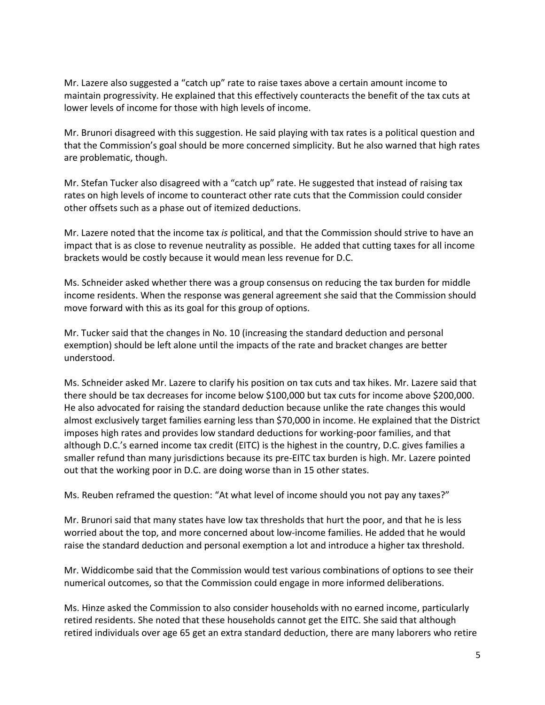Mr. Lazere also suggested a "catch up" rate to raise taxes above a certain amount income to maintain progressivity. He explained that this effectively counteracts the benefit of the tax cuts at lower levels of income for those with high levels of income.

Mr. Brunori disagreed with this suggestion. He said playing with tax rates is a political question and that the Commission's goal should be more concerned simplicity. But he also warned that high rates are problematic, though.

Mr. Stefan Tucker also disagreed with a "catch up" rate. He suggested that instead of raising tax rates on high levels of income to counteract other rate cuts that the Commission could consider other offsets such as a phase out of itemized deductions.

Mr. Lazere noted that the income tax *is* political, and that the Commission should strive to have an impact that is as close to revenue neutrality as possible. He added that cutting taxes for all income brackets would be costly because it would mean less revenue for D.C.

Ms. Schneider asked whether there was a group consensus on reducing the tax burden for middle income residents. When the response was general agreement she said that the Commission should move forward with this as its goal for this group of options.

Mr. Tucker said that the changes in No. 10 (increasing the standard deduction and personal exemption) should be left alone until the impacts of the rate and bracket changes are better understood.

Ms. Schneider asked Mr. Lazere to clarify his position on tax cuts and tax hikes. Mr. Lazere said that there should be tax decreases for income below \$100,000 but tax cuts for income above \$200,000. He also advocated for raising the standard deduction because unlike the rate changes this would almost exclusively target families earning less than \$70,000 in income. He explained that the District imposes high rates and provides low standard deductions for working-poor families, and that although D.C.'s earned income tax credit (EITC) is the highest in the country, D.C. gives families a smaller refund than many jurisdictions because its pre-EITC tax burden is high. Mr. Lazere pointed out that the working poor in D.C. are doing worse than in 15 other states.

Ms. Reuben reframed the question: "At what level of income should you not pay any taxes?"

Mr. Brunori said that many states have low tax thresholds that hurt the poor, and that he is less worried about the top, and more concerned about low-income families. He added that he would raise the standard deduction and personal exemption a lot and introduce a higher tax threshold.

Mr. Widdicombe said that the Commission would test various combinations of options to see their numerical outcomes, so that the Commission could engage in more informed deliberations.

Ms. Hinze asked the Commission to also consider households with no earned income, particularly retired residents. She noted that these households cannot get the EITC. She said that although retired individuals over age 65 get an extra standard deduction, there are many laborers who retire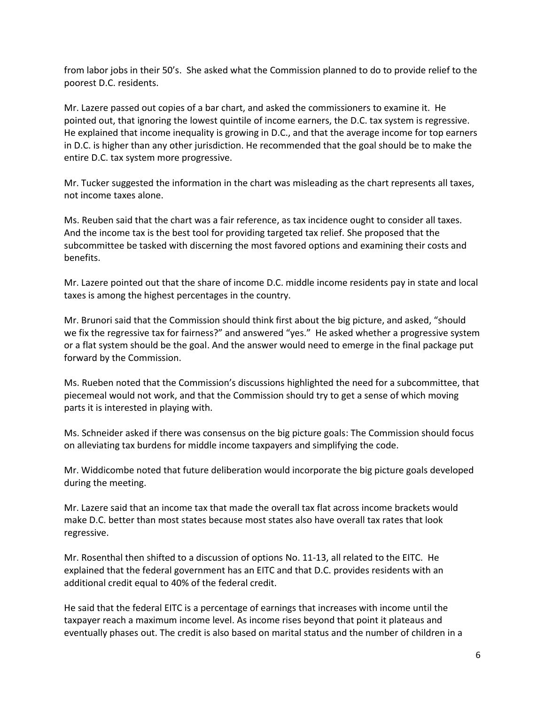from labor jobs in their 50's. She asked what the Commission planned to do to provide relief to the poorest D.C. residents.

Mr. Lazere passed out copies of a bar chart, and asked the commissioners to examine it. He pointed out, that ignoring the lowest quintile of income earners, the D.C. tax system is regressive. He explained that income inequality is growing in D.C., and that the average income for top earners in D.C. is higher than any other jurisdiction. He recommended that the goal should be to make the entire D.C. tax system more progressive.

Mr. Tucker suggested the information in the chart was misleading as the chart represents all taxes, not income taxes alone.

Ms. Reuben said that the chart was a fair reference, as tax incidence ought to consider all taxes. And the income tax is the best tool for providing targeted tax relief. She proposed that the subcommittee be tasked with discerning the most favored options and examining their costs and benefits.

Mr. Lazere pointed out that the share of income D.C. middle income residents pay in state and local taxes is among the highest percentages in the country.

Mr. Brunori said that the Commission should think first about the big picture, and asked, "should we fix the regressive tax for fairness?" and answered "yes." He asked whether a progressive system or a flat system should be the goal. And the answer would need to emerge in the final package put forward by the Commission.

Ms. Rueben noted that the Commission's discussions highlighted the need for a subcommittee, that piecemeal would not work, and that the Commission should try to get a sense of which moving parts it is interested in playing with.

Ms. Schneider asked if there was consensus on the big picture goals: The Commission should focus on alleviating tax burdens for middle income taxpayers and simplifying the code.

Mr. Widdicombe noted that future deliberation would incorporate the big picture goals developed during the meeting.

Mr. Lazere said that an income tax that made the overall tax flat across income brackets would make D.C. better than most states because most states also have overall tax rates that look regressive.

Mr. Rosenthal then shifted to a discussion of options No. 11-13, all related to the EITC. He explained that the federal government has an EITC and that D.C. provides residents with an additional credit equal to 40% of the federal credit.

He said that the federal EITC is a percentage of earnings that increases with income until the taxpayer reach a maximum income level. As income rises beyond that point it plateaus and eventually phases out. The credit is also based on marital status and the number of children in a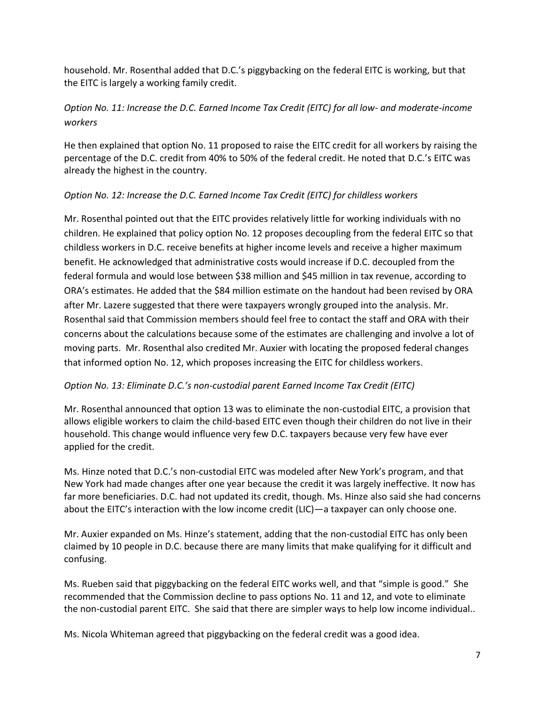household. Mr. Rosenthal added that D.C.'s piggybacking on the federal EITC is working, but that the EITC is largely a working family credit.

# *Option No. 11: Increase the D.C. Earned Income Tax Credit (EITC) for all low- and moderate-income workers*

He then explained that option No. 11 proposed to raise the EITC credit for all workers by raising the percentage of the D.C. credit from 40% to 50% of the federal credit. He noted that D.C.'s EITC was already the highest in the country.

## *Option No. 12: Increase the D.C. Earned Income Tax Credit (EITC) for childless workers*

Mr. Rosenthal pointed out that the EITC provides relatively little for working individuals with no children. He explained that policy option No. 12 proposes decoupling from the federal EITC so that childless workers in D.C. receive benefits at higher income levels and receive a higher maximum benefit. He acknowledged that administrative costs would increase if D.C. decoupled from the federal formula and would lose between \$38 million and \$45 million in tax revenue, according to ORA's estimates. He added that the \$84 million estimate on the handout had been revised by ORA after Mr. Lazere suggested that there were taxpayers wrongly grouped into the analysis. Mr. Rosenthal said that Commission members should feel free to contact the staff and ORA with their concerns about the calculations because some of the estimates are challenging and involve a lot of moving parts. Mr. Rosenthal also credited Mr. Auxier with locating the proposed federal changes that informed option No. 12, which proposes increasing the EITC for childless workers.

## *Option No. 13: Eliminate D.C.'s non-custodial parent Earned Income Tax Credit (EITC)*

Mr. Rosenthal announced that option 13 was to eliminate the non-custodial EITC, a provision that allows eligible workers to claim the child-based EITC even though their children do not live in their household. This change would influence very few D.C. taxpayers because very few have ever applied for the credit.

Ms. Hinze noted that D.C.'s non-custodial EITC was modeled after New York's program, and that New York had made changes after one year because the credit it was largely ineffective. It now has far more beneficiaries. D.C. had not updated its credit, though. Ms. Hinze also said she had concerns about the EITC's interaction with the low income credit (LIC)—a taxpayer can only choose one.

Mr. Auxier expanded on Ms. Hinze's statement, adding that the non-custodial EITC has only been claimed by 10 people in D.C. because there are many limits that make qualifying for it difficult and confusing.

Ms. Rueben said that piggybacking on the federal EITC works well, and that "simple is good." She recommended that the Commission decline to pass options No. 11 and 12, and vote to eliminate the non-custodial parent EITC. She said that there are simpler ways to help low income individual..

Ms. Nicola Whiteman agreed that piggybacking on the federal credit was a good idea.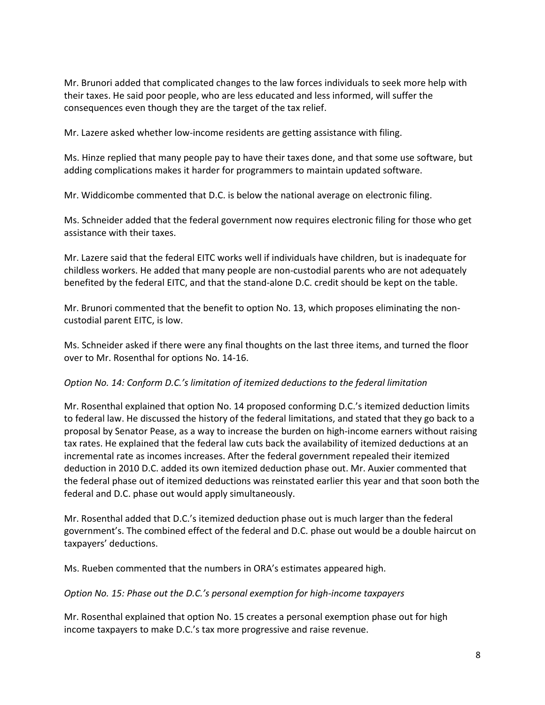Mr. Brunori added that complicated changes to the law forces individuals to seek more help with their taxes. He said poor people, who are less educated and less informed, will suffer the consequences even though they are the target of the tax relief.

Mr. Lazere asked whether low-income residents are getting assistance with filing.

Ms. Hinze replied that many people pay to have their taxes done, and that some use software, but adding complications makes it harder for programmers to maintain updated software.

Mr. Widdicombe commented that D.C. is below the national average on electronic filing.

Ms. Schneider added that the federal government now requires electronic filing for those who get assistance with their taxes.

Mr. Lazere said that the federal EITC works well if individuals have children, but is inadequate for childless workers. He added that many people are non-custodial parents who are not adequately benefited by the federal EITC, and that the stand-alone D.C. credit should be kept on the table.

Mr. Brunori commented that the benefit to option No. 13, which proposes eliminating the noncustodial parent EITC, is low.

Ms. Schneider asked if there were any final thoughts on the last three items, and turned the floor over to Mr. Rosenthal for options No. 14-16.

### *Option No. 14: Conform D.C.'s limitation of itemized deductions to the federal limitation*

Mr. Rosenthal explained that option No. 14 proposed conforming D.C.'s itemized deduction limits to federal law. He discussed the history of the federal limitations, and stated that they go back to a proposal by Senator Pease, as a way to increase the burden on high-income earners without raising tax rates. He explained that the federal law cuts back the availability of itemized deductions at an incremental rate as incomes increases. After the federal government repealed their itemized deduction in 2010 D.C. added its own itemized deduction phase out. Mr. Auxier commented that the federal phase out of itemized deductions was reinstated earlier this year and that soon both the federal and D.C. phase out would apply simultaneously.

Mr. Rosenthal added that D.C.'s itemized deduction phase out is much larger than the federal government's. The combined effect of the federal and D.C. phase out would be a double haircut on taxpayers' deductions.

Ms. Rueben commented that the numbers in ORA's estimates appeared high.

### *Option No. 15: Phase out the D.C.'s personal exemption for high-income taxpayers*

Mr. Rosenthal explained that option No. 15 creates a personal exemption phase out for high income taxpayers to make D.C.'s tax more progressive and raise revenue.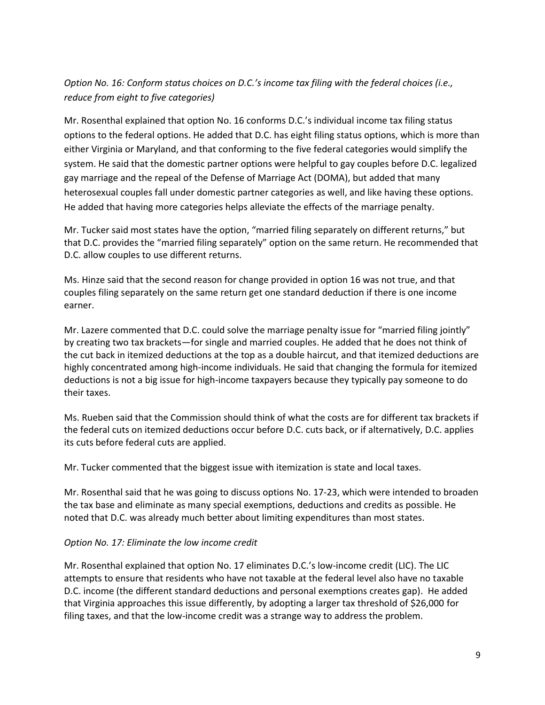# *Option No. 16: Conform status choices on D.C.'s income tax filing with the federal choices (i.e., reduce from eight to five categories)*

Mr. Rosenthal explained that option No. 16 conforms D.C.'s individual income tax filing status options to the federal options. He added that D.C. has eight filing status options, which is more than either Virginia or Maryland, and that conforming to the five federal categories would simplify the system. He said that the domestic partner options were helpful to gay couples before D.C. legalized gay marriage and the repeal of the Defense of Marriage Act (DOMA), but added that many heterosexual couples fall under domestic partner categories as well, and like having these options. He added that having more categories helps alleviate the effects of the marriage penalty.

Mr. Tucker said most states have the option, "married filing separately on different returns," but that D.C. provides the "married filing separately" option on the same return. He recommended that D.C. allow couples to use different returns.

Ms. Hinze said that the second reason for change provided in option 16 was not true, and that couples filing separately on the same return get one standard deduction if there is one income earner.

Mr. Lazere commented that D.C. could solve the marriage penalty issue for "married filing jointly" by creating two tax brackets—for single and married couples. He added that he does not think of the cut back in itemized deductions at the top as a double haircut, and that itemized deductions are highly concentrated among high-income individuals. He said that changing the formula for itemized deductions is not a big issue for high-income taxpayers because they typically pay someone to do their taxes.

Ms. Rueben said that the Commission should think of what the costs are for different tax brackets if the federal cuts on itemized deductions occur before D.C. cuts back, or if alternatively, D.C. applies its cuts before federal cuts are applied.

Mr. Tucker commented that the biggest issue with itemization is state and local taxes.

Mr. Rosenthal said that he was going to discuss options No. 17-23, which were intended to broaden the tax base and eliminate as many special exemptions, deductions and credits as possible. He noted that D.C. was already much better about limiting expenditures than most states.

### *Option No. 17: Eliminate the low income credit*

Mr. Rosenthal explained that option No. 17 eliminates D.C.'s low-income credit (LIC). The LIC attempts to ensure that residents who have not taxable at the federal level also have no taxable D.C. income (the different standard deductions and personal exemptions creates gap). He added that Virginia approaches this issue differently, by adopting a larger tax threshold of \$26,000 for filing taxes, and that the low-income credit was a strange way to address the problem.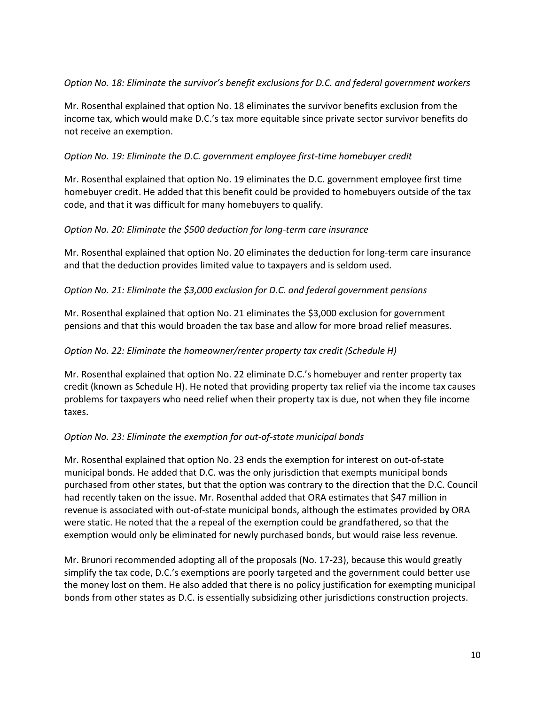## *Option No. 18: Eliminate the survivor's benefit exclusions for D.C. and federal government workers*

Mr. Rosenthal explained that option No. 18 eliminates the survivor benefits exclusion from the income tax, which would make D.C.'s tax more equitable since private sector survivor benefits do not receive an exemption.

### *Option No. 19: Eliminate the D.C. government employee first-time homebuyer credit*

Mr. Rosenthal explained that option No. 19 eliminates the D.C. government employee first time homebuyer credit. He added that this benefit could be provided to homebuyers outside of the tax code, and that it was difficult for many homebuyers to qualify.

## *Option No. 20: Eliminate the \$500 deduction for long-term care insurance*

Mr. Rosenthal explained that option No. 20 eliminates the deduction for long-term care insurance and that the deduction provides limited value to taxpayers and is seldom used.

## *Option No. 21: Eliminate the \$3,000 exclusion for D.C. and federal government pensions*

Mr. Rosenthal explained that option No. 21 eliminates the \$3,000 exclusion for government pensions and that this would broaden the tax base and allow for more broad relief measures.

### *Option No. 22: Eliminate the homeowner/renter property tax credit (Schedule H)*

Mr. Rosenthal explained that option No. 22 eliminate D.C.'s homebuyer and renter property tax credit (known as Schedule H). He noted that providing property tax relief via the income tax causes problems for taxpayers who need relief when their property tax is due, not when they file income taxes.

### *Option No. 23: Eliminate the exemption for out-of-state municipal bonds*

Mr. Rosenthal explained that option No. 23 ends the exemption for interest on out-of-state municipal bonds. He added that D.C. was the only jurisdiction that exempts municipal bonds purchased from other states, but that the option was contrary to the direction that the D.C. Council had recently taken on the issue. Mr. Rosenthal added that ORA estimates that \$47 million in revenue is associated with out-of-state municipal bonds, although the estimates provided by ORA were static. He noted that the a repeal of the exemption could be grandfathered, so that the exemption would only be eliminated for newly purchased bonds, but would raise less revenue.

Mr. Brunori recommended adopting all of the proposals (No. 17-23), because this would greatly simplify the tax code, D.C.'s exemptions are poorly targeted and the government could better use the money lost on them. He also added that there is no policy justification for exempting municipal bonds from other states as D.C. is essentially subsidizing other jurisdictions construction projects.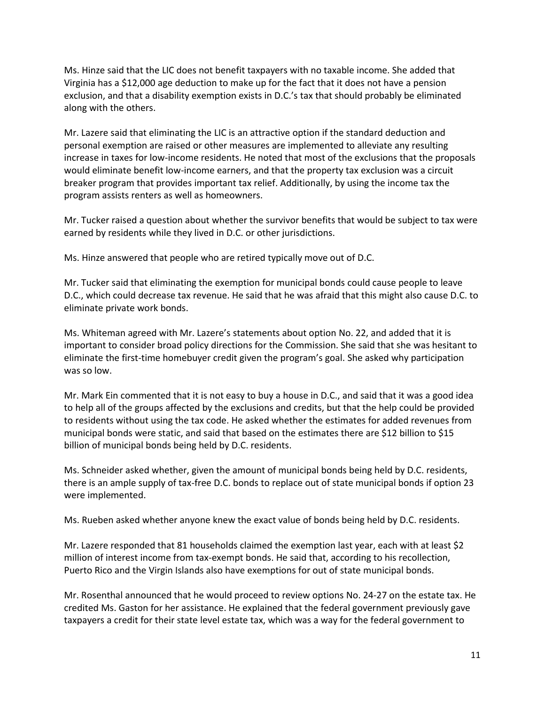Ms. Hinze said that the LIC does not benefit taxpayers with no taxable income. She added that Virginia has a \$12,000 age deduction to make up for the fact that it does not have a pension exclusion, and that a disability exemption exists in D.C.'s tax that should probably be eliminated along with the others.

Mr. Lazere said that eliminating the LIC is an attractive option if the standard deduction and personal exemption are raised or other measures are implemented to alleviate any resulting increase in taxes for low-income residents. He noted that most of the exclusions that the proposals would eliminate benefit low-income earners, and that the property tax exclusion was a circuit breaker program that provides important tax relief. Additionally, by using the income tax the program assists renters as well as homeowners.

Mr. Tucker raised a question about whether the survivor benefits that would be subject to tax were earned by residents while they lived in D.C. or other jurisdictions.

Ms. Hinze answered that people who are retired typically move out of D.C.

Mr. Tucker said that eliminating the exemption for municipal bonds could cause people to leave D.C., which could decrease tax revenue. He said that he was afraid that this might also cause D.C. to eliminate private work bonds.

Ms. Whiteman agreed with Mr. Lazere's statements about option No. 22, and added that it is important to consider broad policy directions for the Commission. She said that she was hesitant to eliminate the first-time homebuyer credit given the program's goal. She asked why participation was so low.

Mr. Mark Ein commented that it is not easy to buy a house in D.C., and said that it was a good idea to help all of the groups affected by the exclusions and credits, but that the help could be provided to residents without using the tax code. He asked whether the estimates for added revenues from municipal bonds were static, and said that based on the estimates there are \$12 billion to \$15 billion of municipal bonds being held by D.C. residents.

Ms. Schneider asked whether, given the amount of municipal bonds being held by D.C. residents, there is an ample supply of tax-free D.C. bonds to replace out of state municipal bonds if option 23 were implemented.

Ms. Rueben asked whether anyone knew the exact value of bonds being held by D.C. residents.

Mr. Lazere responded that 81 households claimed the exemption last year, each with at least \$2 million of interest income from tax-exempt bonds. He said that, according to his recollection, Puerto Rico and the Virgin Islands also have exemptions for out of state municipal bonds.

Mr. Rosenthal announced that he would proceed to review options No. 24-27 on the estate tax. He credited Ms. Gaston for her assistance. He explained that the federal government previously gave taxpayers a credit for their state level estate tax, which was a way for the federal government to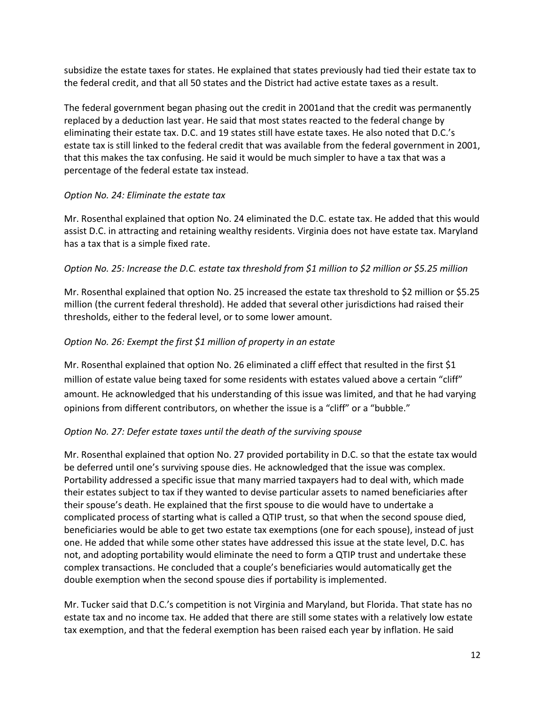subsidize the estate taxes for states. He explained that states previously had tied their estate tax to the federal credit, and that all 50 states and the District had active estate taxes as a result.

The federal government began phasing out the credit in 2001and that the credit was permanently replaced by a deduction last year. He said that most states reacted to the federal change by eliminating their estate tax. D.C. and 19 states still have estate taxes. He also noted that D.C.'s estate tax is still linked to the federal credit that was available from the federal government in 2001, that this makes the tax confusing. He said it would be much simpler to have a tax that was a percentage of the federal estate tax instead.

### *Option No. 24: Eliminate the estate tax*

Mr. Rosenthal explained that option No. 24 eliminated the D.C. estate tax. He added that this would assist D.C. in attracting and retaining wealthy residents. Virginia does not have estate tax. Maryland has a tax that is a simple fixed rate.

## *Option No. 25: Increase the D.C. estate tax threshold from \$1 million to \$2 million or \$5.25 million*

Mr. Rosenthal explained that option No. 25 increased the estate tax threshold to \$2 million or \$5.25 million (the current federal threshold). He added that several other jurisdictions had raised their thresholds, either to the federal level, or to some lower amount.

## *Option No. 26: Exempt the first \$1 million of property in an estate*

Mr. Rosenthal explained that option No. 26 eliminated a cliff effect that resulted in the first \$1 million of estate value being taxed for some residents with estates valued above a certain "cliff" amount. He acknowledged that his understanding of this issue was limited, and that he had varying opinions from different contributors, on whether the issue is a "cliff" or a "bubble."

## *Option No. 27: Defer estate taxes until the death of the surviving spouse*

Mr. Rosenthal explained that option No. 27 provided portability in D.C. so that the estate tax would be deferred until one's surviving spouse dies. He acknowledged that the issue was complex. Portability addressed a specific issue that many married taxpayers had to deal with, which made their estates subject to tax if they wanted to devise particular assets to named beneficiaries after their spouse's death. He explained that the first spouse to die would have to undertake a complicated process of starting what is called a QTIP trust, so that when the second spouse died, beneficiaries would be able to get two estate tax exemptions (one for each spouse), instead of just one. He added that while some other states have addressed this issue at the state level, D.C. has not, and adopting portability would eliminate the need to form a QTIP trust and undertake these complex transactions. He concluded that a couple's beneficiaries would automatically get the double exemption when the second spouse dies if portability is implemented.

Mr. Tucker said that D.C.'s competition is not Virginia and Maryland, but Florida. That state has no estate tax and no income tax. He added that there are still some states with a relatively low estate tax exemption, and that the federal exemption has been raised each year by inflation. He said